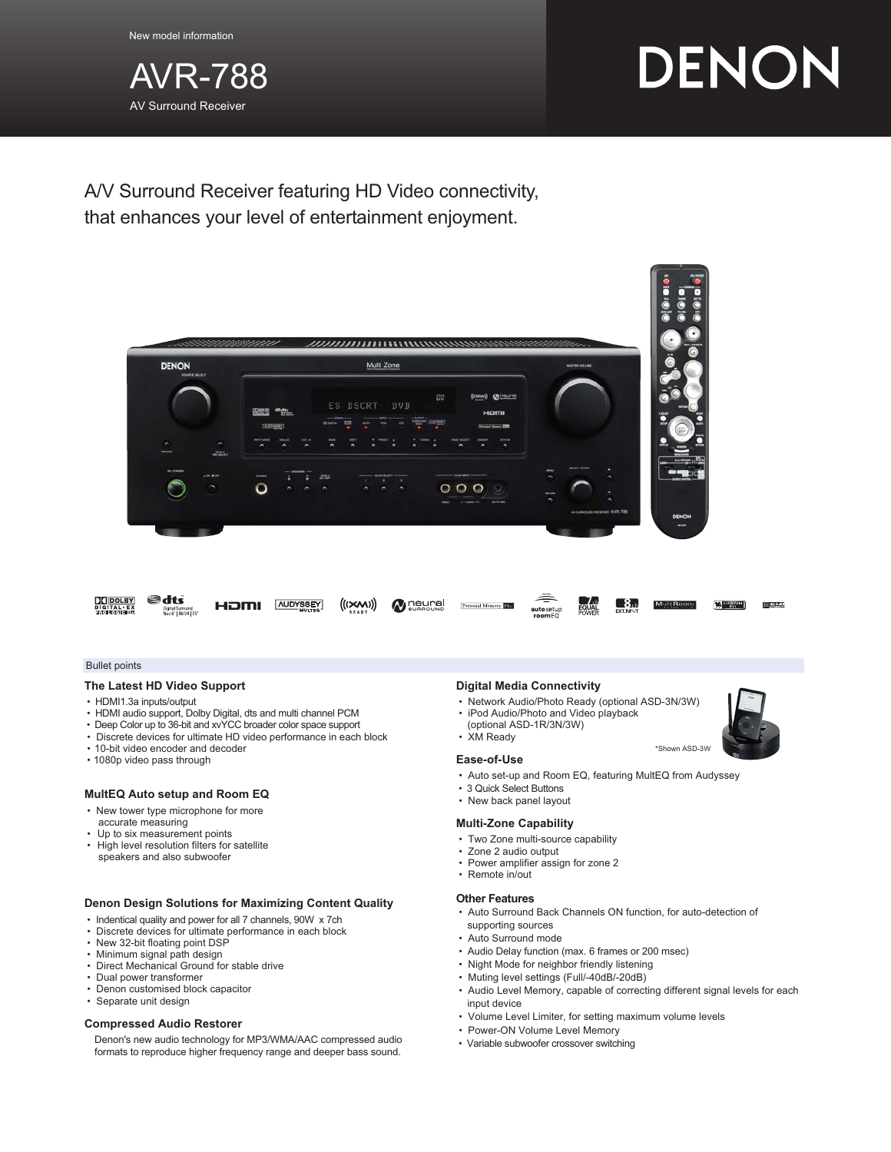New model information



# DENON

A/V Surround Receiver featuring HD Video connectivity, that enhances your level of entertainment enjoyment.



#### Bullet points

#### **The Latest HD Video Support**

- HDMI1.3a inputs/output
- HDMI audio support, Dolby Digital, dts and multi channel PCM
- Deep Color up to 36-bit and xvYCC broader color space support
- Discrete devices for ultimate HD video performance in each block
- 10-bit video encoder and decoder
- 1080p video pass through

#### **MultEQ Auto setup and Room EQ**

- New tower type microphone for more accurate measuring
- Up to six measurement points
- High level resolution filters for satellite speakers and also subwoofer

# **Denon Design Solutions for Maximizing Content Quality**

- Indentical quality and power for all 7 channels, 90W x 7ch
- Discrete devices for ultimate performance in each block
- New 32-bit floating point DSP
- Minimum signal path design
- Direct Mechanical Ground for stable drive
- Dual power transformer
- Denon customised block capacitor
- Separate unit design

#### **Compressed Audio Restorer**

Denon's new audio technology for MP3/WMA/AAC compressed audio formats to reproduce higher frequency range and deeper bass sound.

#### **Digital Media Connectivity**

- Network Audio/Photo Ready (optional ASD-3N/3W)
- iPod Audio/Photo and Video playback
- (optional ASD-1R/3N/3W)
- XM Ready

#### **Ease-of-Use**

- Auto set-up and Room EQ, featuring MultEQ from Audyssey
- 3 Quick Select Buttons
- New back panel layout

#### **Multi-Zone Capability**

- Two Zone multi-source capability
- Zone 2 audio output
- Power amplifier assign for zone 2
- Remote in/out

## **Other Features**

- Auto Surround Back Channels ON function, for auto-detection of supporting sources
- Auto Surround mode
- Audio Delay function (max. 6 frames or 200 msec)
- Night Mode for neighbor friendly listening
- Muting level settings (Full/-40dB/-20dB)
- Audio Level Memory, capable of correcting different signal levels for each input device
- Volume Level Limiter, for setting maximum volume levels
- Power-ON Volume Level Memory
- Variable subwoofer crossover switching



\*Shown ASD-3W